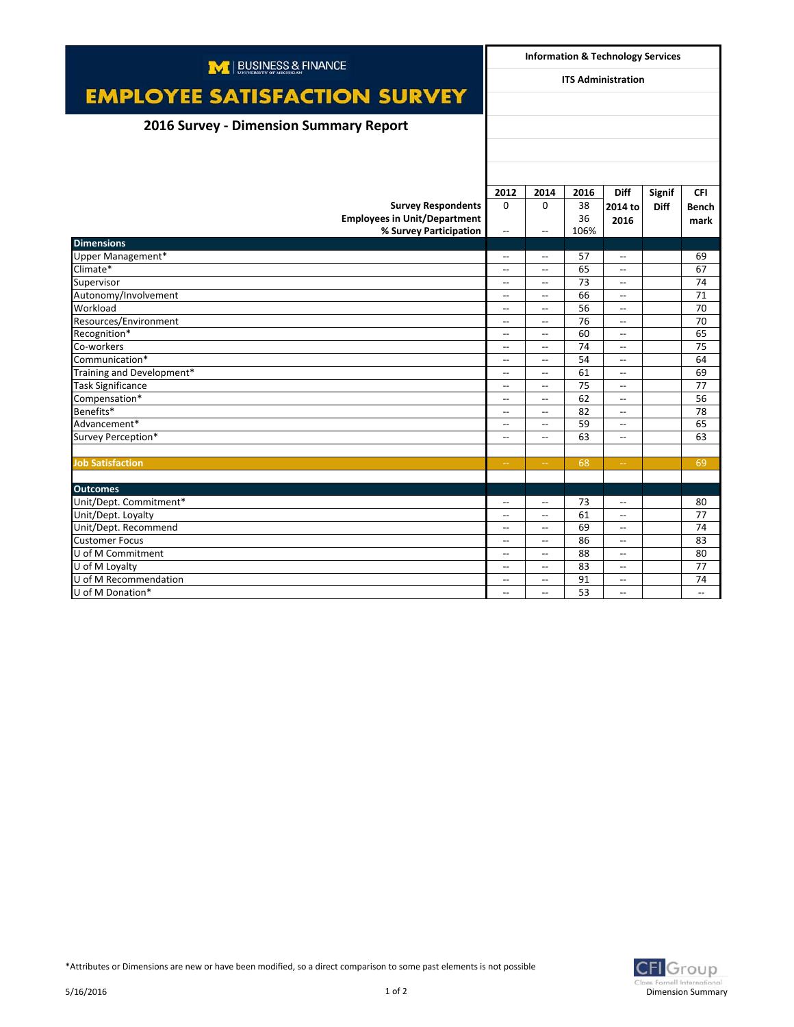| M   BUSINESS & FINANCE                 |                                            | <b>Information &amp; Technology Services</b> |          |                          |               |                          |
|----------------------------------------|--------------------------------------------|----------------------------------------------|----------|--------------------------|---------------|--------------------------|
|                                        | <b>ITS Administration</b>                  |                                              |          |                          |               |                          |
| <b>EMPLOYEE SATISFACTION SURVEY</b>    |                                            |                                              |          |                          |               |                          |
| 2016 Survey - Dimension Summary Report |                                            |                                              |          |                          |               |                          |
|                                        |                                            |                                              |          |                          |               |                          |
|                                        |                                            |                                              |          |                          |               |                          |
|                                        |                                            |                                              |          |                          |               |                          |
|                                        | 2012                                       | 2014                                         | 2016     | <b>Diff</b>              | <b>Signif</b> | <b>CFI</b>               |
| <b>Survey Respondents</b>              | $\Omega$                                   | $\Omega$                                     | 38       | 2014 to                  | <b>Diff</b>   | <b>Bench</b>             |
| <b>Employees in Unit/Department</b>    |                                            |                                              | 36       | 2016                     |               | mark                     |
| % Survey Participation                 | $\overline{\phantom{a}}$                   | $\overline{\phantom{a}}$                     | 106%     |                          |               |                          |
| <b>Dimensions</b>                      |                                            |                                              |          |                          |               |                          |
| Upper Management*<br>Climate*          | $\overline{\phantom{a}}$<br>$-$            | $\overline{\phantom{a}}$<br>$\overline{a}$   | 57<br>65 | $-$<br>$\sim$            |               | 69<br>67                 |
| Supervisor                             |                                            | $\overline{\phantom{a}}$                     | 73       | $\overline{\phantom{a}}$ |               | 74                       |
| Autonomy/Involvement                   | $\overline{\phantom{a}}$<br>$\overline{a}$ | $\overline{\phantom{a}}$                     | 66       | $-$                      |               | 71                       |
| Workload                               | $\overline{\phantom{a}}$                   | $\overline{\phantom{a}}$                     | 56       | $-$                      |               | 70                       |
| Resources/Environment                  | $\overline{\phantom{a}}$                   | $\overline{\phantom{a}}$                     | 76       | $\overline{a}$           |               | 70                       |
| Recognition*                           | $\overline{\phantom{0}}$                   | $\overline{\phantom{a}}$                     | 60       | $\overline{\phantom{a}}$ |               | 65                       |
| Co-workers                             | $\hspace{0.05cm} \ldots$                   | $\hspace{0.05cm} \ldots$                     | 74       | $\overline{\phantom{a}}$ |               | 75                       |
| Communication*                         | $-$                                        | $\overline{\phantom{0}}$                     | 54       | $\overline{a}$           |               | 64                       |
| Training and Development*              | $\overline{\phantom{a}}$                   | $\overline{a}$                               | 61       | $-$                      |               | 69                       |
| <b>Task Significance</b>               | $\overline{a}$                             | $\overline{a}$                               | 75       | $\overline{a}$           |               | 77                       |
| Compensation*                          | $\overline{\phantom{a}}$                   | $\overline{\phantom{a}}$                     | 62       | $\overline{\phantom{a}}$ |               | 56                       |
| Benefits*                              | $\overline{\phantom{a}}$                   | $\overline{\phantom{a}}$                     | 82       | $\overline{\phantom{a}}$ |               | 78                       |
| Advancement*                           | $\overline{\phantom{a}}$                   | $\overline{\phantom{a}}$                     | 59       | $\overline{\phantom{a}}$ |               | 65                       |
| Survey Perception*                     | $-$                                        | $\overline{\phantom{a}}$                     | 63       | $\overline{\phantom{a}}$ |               | 63                       |
|                                        |                                            |                                              |          |                          |               |                          |
| <b>Job Satisfaction</b>                | $\rightarrow$                              |                                              | 68       | $\rightarrow$            |               | 69                       |
|                                        |                                            |                                              |          |                          |               |                          |
| <b>Outcomes</b>                        |                                            |                                              |          |                          |               |                          |
| Unit/Dept. Commitment*                 | $\overline{\phantom{a}}$                   | $\overline{\phantom{0}}$                     | 73       | $\overline{\phantom{a}}$ |               | 80                       |
| Unit/Dept. Loyalty                     | $\hspace{0.05cm} \ldots$                   | $\overline{\phantom{a}}$                     | 61       | $\overline{\phantom{a}}$ |               | 77                       |
| Unit/Dept. Recommend                   | $-$                                        | $\overline{\phantom{a}}$                     | 69       | $\overline{a}$           |               | 74                       |
| <b>Customer Focus</b>                  | $\overline{\phantom{a}}$                   | $\sim$                                       | 86       | $\sim$                   |               | 83                       |
| U of M Commitment                      | $\overline{\phantom{a}}$                   | $\overline{a}$                               | 88       | $\overline{a}$           |               | 80                       |
| U of M Lovalty                         | $\overline{\phantom{a}}$                   | $\overline{\phantom{a}}$                     | 83       | $\overline{\phantom{a}}$ |               | 77                       |
| U of M Recommendation                  | $\hspace{0.05cm} \ldots$                   | $\overline{\phantom{a}}$                     | 91       | $\overline{\phantom{a}}$ |               | 74                       |
| U of M Donation*                       | $\overline{\phantom{a}}$                   | $-$                                          | 53       | $\overline{\phantom{a}}$ |               | $\overline{\phantom{a}}$ |